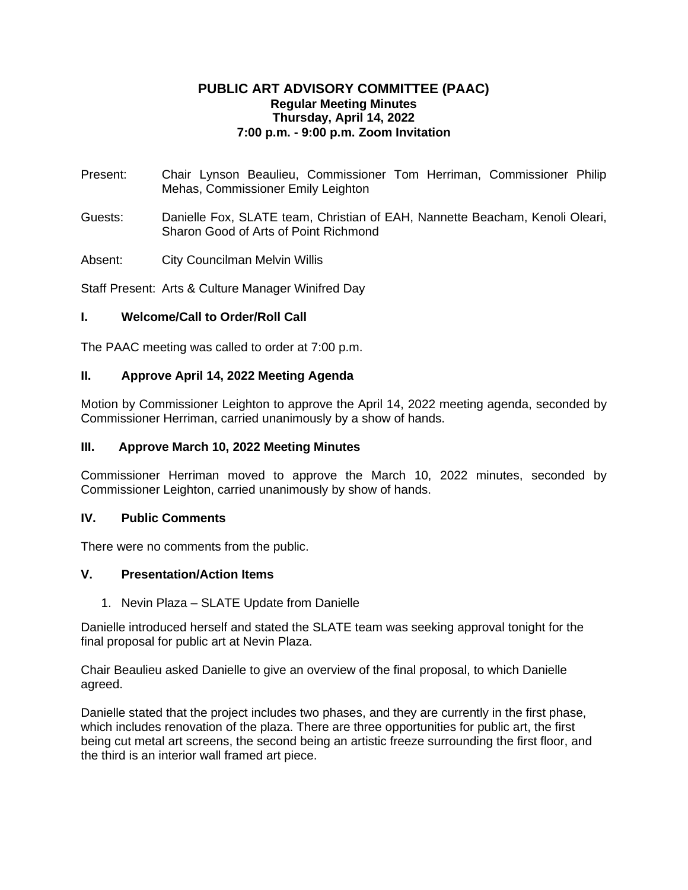# **PUBLIC ART ADVISORY COMMITTEE (PAAC) Regular Meeting Minutes Thursday, April 14, 2022 7:00 p.m. - 9:00 p.m. Zoom Invitation**

- Present: Chair Lynson Beaulieu, Commissioner Tom Herriman, Commissioner Philip Mehas, Commissioner Emily Leighton
- Guests: Danielle Fox, SLATE team, Christian of EAH, Nannette Beacham, Kenoli Oleari, Sharon Good of Arts of Point Richmond
- Absent: City Councilman Melvin Willis

Staff Present: Arts & Culture Manager Winifred Day

## **I. Welcome/Call to Order/Roll Call**

The PAAC meeting was called to order at 7:00 p.m.

## **II. Approve April 14, 2022 Meeting Agenda**

Motion by Commissioner Leighton to approve the April 14, 2022 meeting agenda, seconded by Commissioner Herriman, carried unanimously by a show of hands.

#### **III. Approve March 10, 2022 Meeting Minutes**

Commissioner Herriman moved to approve the March 10, 2022 minutes, seconded by Commissioner Leighton, carried unanimously by show of hands.

#### **IV. Public Comments**

There were no comments from the public.

## **V. Presentation/Action Items**

1. Nevin Plaza – SLATE Update from Danielle

Danielle introduced herself and stated the SLATE team was seeking approval tonight for the final proposal for public art at Nevin Plaza.

Chair Beaulieu asked Danielle to give an overview of the final proposal, to which Danielle agreed.

Danielle stated that the project includes two phases, and they are currently in the first phase, which includes renovation of the plaza. There are three opportunities for public art, the first being cut metal art screens, the second being an artistic freeze surrounding the first floor, and the third is an interior wall framed art piece.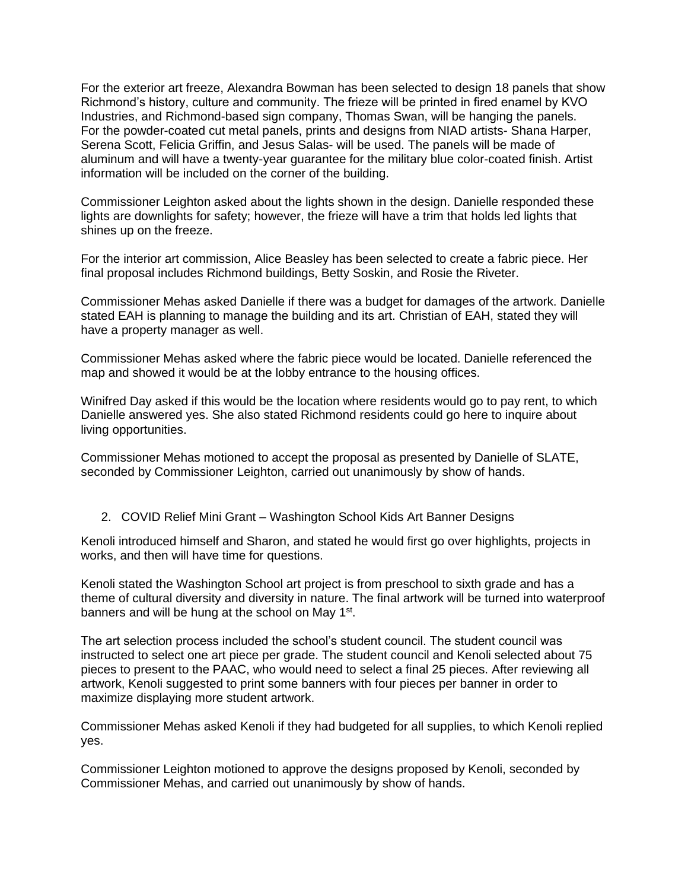For the exterior art freeze, Alexandra Bowman has been selected to design 18 panels that show Richmond's history, culture and community. The frieze will be printed in fired enamel by KVO Industries, and Richmond-based sign company, Thomas Swan, will be hanging the panels. For the powder-coated cut metal panels, prints and designs from NIAD artists- Shana Harper, Serena Scott, Felicia Griffin, and Jesus Salas- will be used. The panels will be made of aluminum and will have a twenty-year guarantee for the military blue color-coated finish. Artist information will be included on the corner of the building.

Commissioner Leighton asked about the lights shown in the design. Danielle responded these lights are downlights for safety; however, the frieze will have a trim that holds led lights that shines up on the freeze.

For the interior art commission, Alice Beasley has been selected to create a fabric piece. Her final proposal includes Richmond buildings, Betty Soskin, and Rosie the Riveter.

Commissioner Mehas asked Danielle if there was a budget for damages of the artwork. Danielle stated EAH is planning to manage the building and its art. Christian of EAH, stated they will have a property manager as well.

Commissioner Mehas asked where the fabric piece would be located. Danielle referenced the map and showed it would be at the lobby entrance to the housing offices.

Winifred Day asked if this would be the location where residents would go to pay rent, to which Danielle answered yes. She also stated Richmond residents could go here to inquire about living opportunities.

Commissioner Mehas motioned to accept the proposal as presented by Danielle of SLATE, seconded by Commissioner Leighton, carried out unanimously by show of hands.

2. COVID Relief Mini Grant – Washington School Kids Art Banner Designs

Kenoli introduced himself and Sharon, and stated he would first go over highlights, projects in works, and then will have time for questions.

Kenoli stated the Washington School art project is from preschool to sixth grade and has a theme of cultural diversity and diversity in nature. The final artwork will be turned into waterproof banners and will be hung at the school on May 1<sup>st</sup>.

The art selection process included the school's student council. The student council was instructed to select one art piece per grade. The student council and Kenoli selected about 75 pieces to present to the PAAC, who would need to select a final 25 pieces. After reviewing all artwork, Kenoli suggested to print some banners with four pieces per banner in order to maximize displaying more student artwork.

Commissioner Mehas asked Kenoli if they had budgeted for all supplies, to which Kenoli replied yes.

Commissioner Leighton motioned to approve the designs proposed by Kenoli, seconded by Commissioner Mehas, and carried out unanimously by show of hands.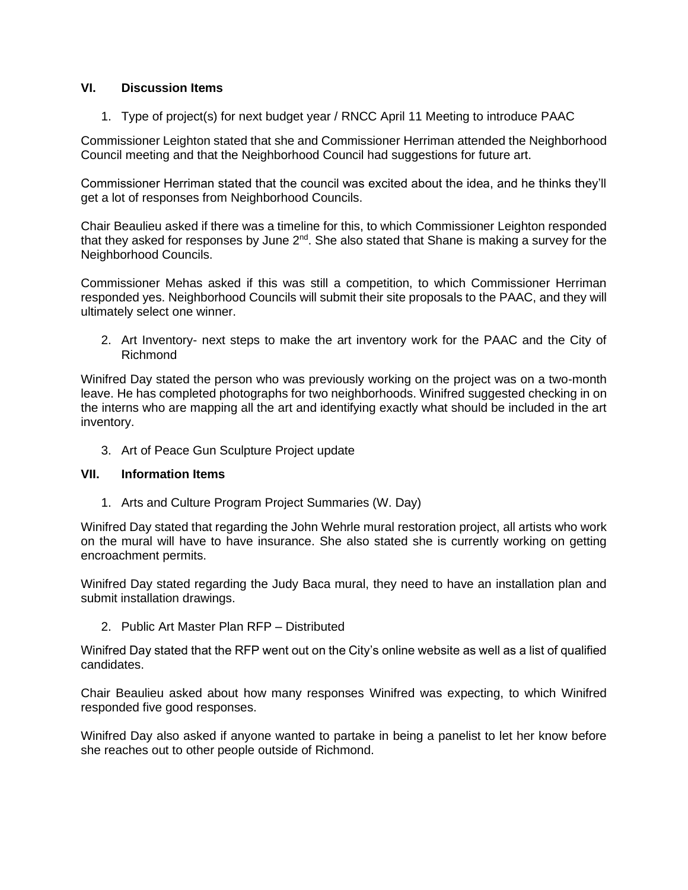# **VI. Discussion Items**

1. Type of project(s) for next budget year / RNCC April 11 Meeting to introduce PAAC

Commissioner Leighton stated that she and Commissioner Herriman attended the Neighborhood Council meeting and that the Neighborhood Council had suggestions for future art.

Commissioner Herriman stated that the council was excited about the idea, and he thinks they'll get a lot of responses from Neighborhood Councils.

Chair Beaulieu asked if there was a timeline for this, to which Commissioner Leighton responded that they asked for responses by June  $2^{nd}$ . She also stated that Shane is making a survey for the Neighborhood Councils.

Commissioner Mehas asked if this was still a competition, to which Commissioner Herriman responded yes. Neighborhood Councils will submit their site proposals to the PAAC, and they will ultimately select one winner.

2. Art Inventory- next steps to make the art inventory work for the PAAC and the City of Richmond

Winifred Day stated the person who was previously working on the project was on a two-month leave. He has completed photographs for two neighborhoods. Winifred suggested checking in on the interns who are mapping all the art and identifying exactly what should be included in the art inventory.

3. Art of Peace Gun Sculpture Project update

#### **VII. Information Items**

1. Arts and Culture Program Project Summaries (W. Day)

Winifred Day stated that regarding the John Wehrle mural restoration project, all artists who work on the mural will have to have insurance. She also stated she is currently working on getting encroachment permits.

Winifred Day stated regarding the Judy Baca mural, they need to have an installation plan and submit installation drawings.

2. Public Art Master Plan RFP – Distributed

Winifred Day stated that the RFP went out on the City's online website as well as a list of qualified candidates.

Chair Beaulieu asked about how many responses Winifred was expecting, to which Winifred responded five good responses.

Winifred Day also asked if anyone wanted to partake in being a panelist to let her know before she reaches out to other people outside of Richmond.